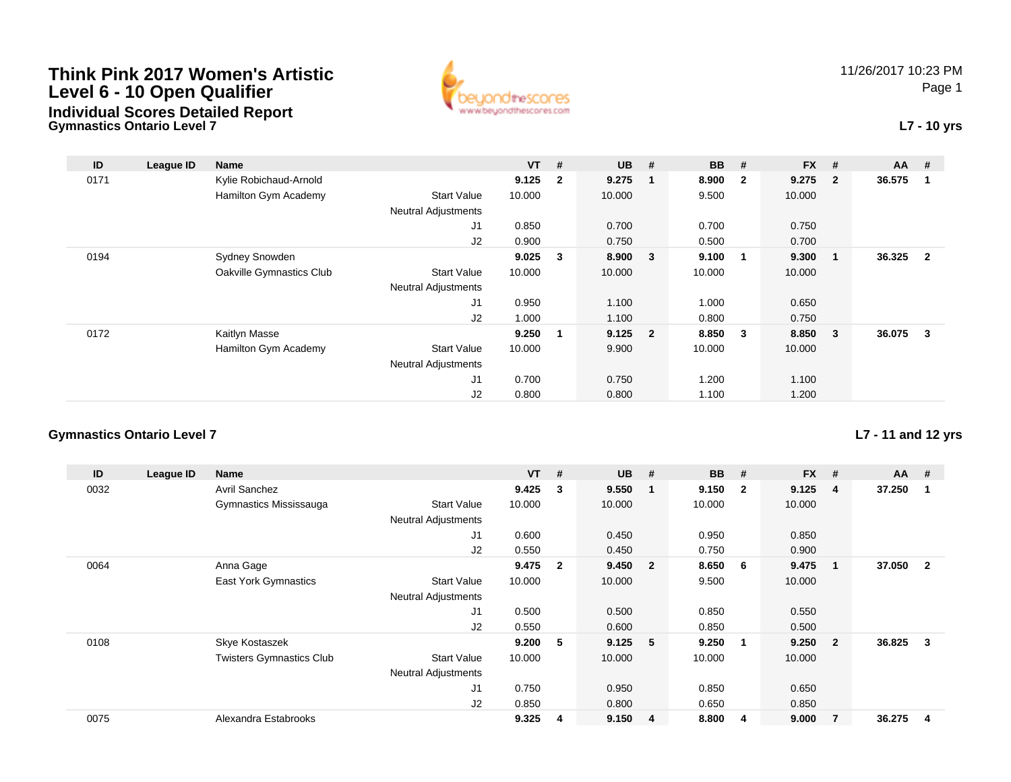

## **L7 - 10 yrs**

| ID   | League ID | <b>Name</b>              |                            | $VT$ # |                         | $UB$ #    |   | <b>BB</b> | #                       | <b>FX</b> | #                       | <b>AA</b> | #              |
|------|-----------|--------------------------|----------------------------|--------|-------------------------|-----------|---|-----------|-------------------------|-----------|-------------------------|-----------|----------------|
| 0171 |           | Kylie Robichaud-Arnold   |                            | 9.125  | $\overline{\mathbf{2}}$ | 9.275     |   | 8.900     | $\overline{\mathbf{2}}$ | 9.275     | $\overline{\mathbf{2}}$ | 36.575    |                |
|      |           | Hamilton Gym Academy     | <b>Start Value</b>         | 10.000 |                         | 10.000    |   | 9.500     |                         | 10.000    |                         |           |                |
|      |           |                          | <b>Neutral Adjustments</b> |        |                         |           |   |           |                         |           |                         |           |                |
|      |           |                          | J1                         | 0.850  |                         | 0.700     |   | 0.700     |                         | 0.750     |                         |           |                |
|      |           |                          | J2                         | 0.900  |                         | 0.750     |   | 0.500     |                         | 0.700     |                         |           |                |
| 0194 |           | <b>Sydney Snowden</b>    |                            | 9.025  | 3                       | 8.900     | 3 | 9.100     | - 1                     | 9.300     | -1                      | 36.325    | $\overline{2}$ |
|      |           | Oakville Gymnastics Club | <b>Start Value</b>         | 10.000 |                         | 10.000    |   | 10.000    |                         | 10.000    |                         |           |                |
|      |           |                          | <b>Neutral Adjustments</b> |        |                         |           |   |           |                         |           |                         |           |                |
|      |           |                          | J <sub>1</sub>             | 0.950  |                         | 1.100     |   | 1.000     |                         | 0.650     |                         |           |                |
|      |           |                          | J2                         | 1.000  |                         | 1.100     |   | 0.800     |                         | 0.750     |                         |           |                |
| 0172 |           | Kaitlyn Masse            |                            | 9.250  | 1                       | $9.125$ 2 |   | 8.850     | $\overline{\mathbf{3}}$ | 8.850     | $\overline{\mathbf{3}}$ | 36.075    | 3              |
|      |           | Hamilton Gym Academy     | <b>Start Value</b>         | 10.000 |                         | 9.900     |   | 10.000    |                         | 10.000    |                         |           |                |
|      |           |                          | <b>Neutral Adjustments</b> |        |                         |           |   |           |                         |           |                         |           |                |
|      |           |                          | J1                         | 0.700  |                         | 0.750     |   | 1.200     |                         | 1.100     |                         |           |                |
|      |           |                          | J2                         | 0.800  |                         | 0.800     |   | 1.100     |                         | 1.200     |                         |           |                |

#### **Gymnastics Ontario Level 7**

**Gymnastics Ontario Level 7**

**ID League ID Name VT # UB # BB # FX # AA #** 0032 Avril Sanchez **9.425 <sup>3</sup> 9.550 <sup>1</sup> 9.150 <sup>2</sup> 9.125 <sup>4</sup> 37.250 <sup>1</sup>** Gymnastics Mississauga Start Value 10.000 10.000 10.000 10.000 Neutral Adjustments J1 0.600 0.450 0.950 0.850 J2 0.550 0.450 0.750 0.900 0064 Anna Gage **9.475 <sup>2</sup> 9.450 <sup>2</sup> 8.650 <sup>6</sup> 9.475 <sup>1</sup> 37.050 <sup>2</sup>** East York Gymnastics Start Valuee 10.000 10.000 9.500 10.000 Neutral Adjustments J1 0.500 0.500 0.850 0.550 J2 0.550 0.600 0.850 0.500 0108 Skye Kostaszek **9.200 <sup>5</sup> 9.125 <sup>5</sup> 9.250 <sup>1</sup> 9.250 <sup>2</sup> 36.825 <sup>3</sup>** Twisters Gymnastics Clubb 3tart Value 10.000 10.000 10.000 10.000 10.000 Neutral Adjustments J1 0.750 0.950 0.850 0.650 J2 0.850 0.800 0.650 0.850 0075Alexandra Estabrooks **9.325 <sup>4</sup> 9.150 <sup>4</sup> 8.800 <sup>4</sup> 9.000 <sup>7</sup> 36.275 <sup>4</sup>**

#### **L7 - 11 and 12 yrs**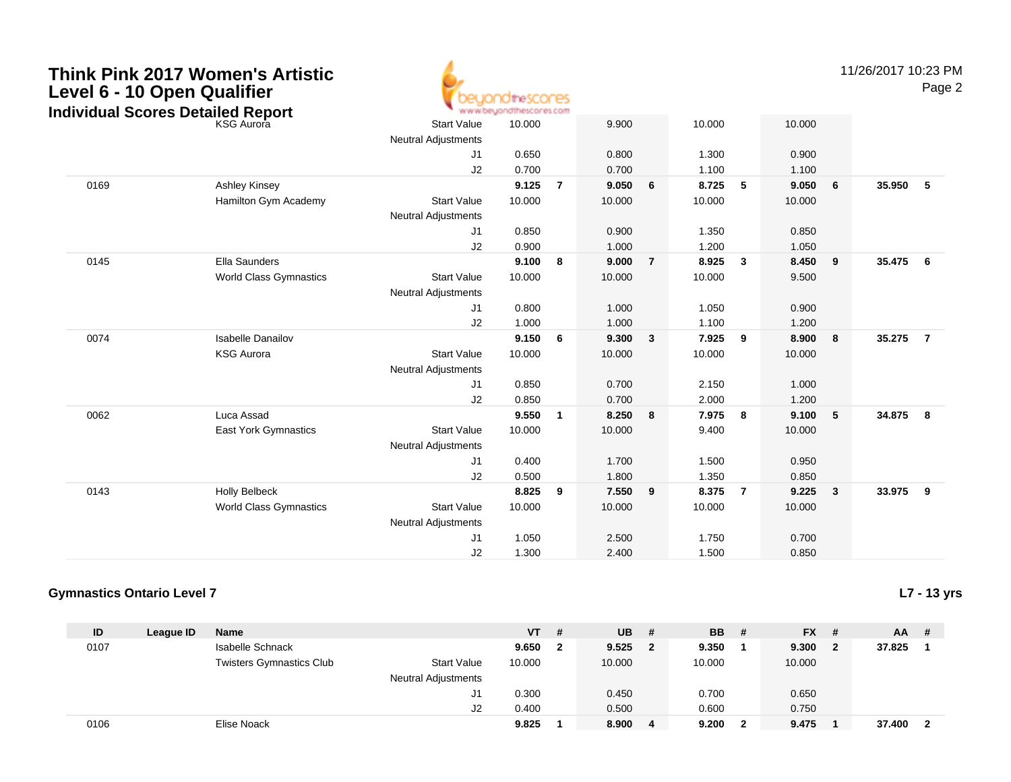| Think Pink 2017 Women's Artistic  |  |  |
|-----------------------------------|--|--|
| Level 6 - 10 Open Qualifier       |  |  |
| Individual Scores Detailed Renort |  |  |



11/26/2017 10:23 PM

Page 2

|                               | <b>Start Value</b>                                         | 10.000 |                | 9.900  |                         | 10.000 |   | 10.000 |   |        |                         |
|-------------------------------|------------------------------------------------------------|--------|----------------|--------|-------------------------|--------|---|--------|---|--------|-------------------------|
|                               | <b>Neutral Adjustments</b>                                 |        |                |        |                         |        |   |        |   |        |                         |
|                               | J1                                                         | 0.650  |                | 0.800  |                         | 1.300  |   | 0.900  |   |        |                         |
|                               | J2                                                         | 0.700  |                | 0.700  |                         | 1.100  |   | 1.100  |   |        |                         |
| Ashley Kinsey                 |                                                            | 9.125  | $\overline{7}$ | 9.050  | 6                       | 8.725  | 5 | 9.050  | 6 | 35.950 | $-5$                    |
| Hamilton Gym Academy          | <b>Start Value</b>                                         | 10.000 |                | 10.000 |                         | 10.000 |   | 10.000 |   |        |                         |
|                               | <b>Neutral Adjustments</b>                                 |        |                |        |                         |        |   |        |   |        |                         |
|                               | J1                                                         | 0.850  |                | 0.900  |                         | 1.350  |   | 0.850  |   |        |                         |
|                               | J2                                                         | 0.900  |                | 1.000  |                         | 1.200  |   | 1.050  |   |        |                         |
| Ella Saunders                 |                                                            | 9.100  | 8              | 9.000  | $\overline{7}$          | 8.925  | 3 | 8.450  | 9 |        |                         |
| <b>World Class Gymnastics</b> | <b>Start Value</b>                                         | 10.000 |                | 10.000 |                         | 10.000 |   | 9.500  |   |        |                         |
|                               | <b>Neutral Adjustments</b>                                 |        |                |        |                         |        |   |        |   |        |                         |
|                               | J1                                                         | 0.800  |                | 1.000  |                         | 1.050  |   | 0.900  |   |        |                         |
|                               | J2                                                         | 1.000  |                | 1.000  |                         | 1.100  |   | 1.200  |   |        |                         |
| <b>Isabelle Danailov</b>      |                                                            | 9.150  | 6              | 9.300  | 3                       | 7.925  | 9 | 8.900  | 8 | 35.275 | $\overline{7}$          |
| <b>KSG Aurora</b>             | <b>Start Value</b>                                         | 10.000 |                | 10.000 |                         | 10.000 |   | 10.000 |   |        |                         |
|                               | <b>Neutral Adjustments</b>                                 |        |                |        |                         |        |   |        |   |        |                         |
|                               | J <sub>1</sub>                                             | 0.850  |                | 0.700  |                         | 2.150  |   | 1.000  |   |        |                         |
|                               | J2                                                         | 0.850  |                | 0.700  |                         | 2.000  |   | 1.200  |   |        |                         |
| Luca Assad                    |                                                            | 9.550  | $\mathbf{1}$   | 8.250  | 8                       | 7.975  | 8 | 9.100  | 5 | 34.875 | $\overline{\mathbf{8}}$ |
| East York Gymnastics          | <b>Start Value</b>                                         | 10.000 |                | 10.000 |                         | 9.400  |   | 10.000 |   |        |                         |
|                               | <b>Neutral Adjustments</b>                                 |        |                |        |                         |        |   |        |   |        |                         |
|                               | J1                                                         | 0.400  |                | 1.700  |                         | 1.500  |   | 0.950  |   |        |                         |
|                               | J2                                                         | 0.500  |                | 1.800  |                         | 1.350  |   | 0.850  |   |        |                         |
| <b>Holly Belbeck</b>          |                                                            | 8.825  | 9              | 7.550  | 9                       | 8.375  | 7 | 9.225  | 3 |        |                         |
| <b>World Class Gymnastics</b> | <b>Start Value</b>                                         | 10.000 |                | 10.000 |                         | 10.000 |   | 10.000 |   |        |                         |
|                               | <b>Neutral Adjustments</b>                                 |        |                |        |                         |        |   |        |   |        |                         |
|                               | J1                                                         | 1.050  |                | 2.500  |                         | 1.750  |   | 0.700  |   |        |                         |
|                               | J2                                                         | 1.300  |                | 2.400  |                         | 1.500  |   | 0.850  |   |        |                         |
|                               | Individual Scores Detailed Report<br><sup>KSG Aurora</sup> |        |                |        | www.beyondthescores.com |        |   |        |   |        | 35.475 6<br>33.975 9    |

### **Gymnastics Ontario Level 7**

**L7 - 13 yrs**

| ID   | League ID | <b>Name</b>                     |                            | <b>VT</b> | # | <b>UB</b> | # | <b>BB</b> # | $FX$ # |              | $AA$ # |                         |
|------|-----------|---------------------------------|----------------------------|-----------|---|-----------|---|-------------|--------|--------------|--------|-------------------------|
| 0107 |           | <b>Isabelle Schnack</b>         |                            | 9.650     |   | 9.525     | 2 | 9.350       | 9.300  | $\mathbf{2}$ | 37.825 |                         |
|      |           | <b>Twisters Gymnastics Club</b> | <b>Start Value</b>         | 10.000    |   | 10.000    |   | 10.000      | 10.000 |              |        |                         |
|      |           |                                 | <b>Neutral Adjustments</b> |           |   |           |   |             |        |              |        |                         |
|      |           |                                 | J1                         | 0.300     |   | 0.450     |   | 0.700       | 0.650  |              |        |                         |
|      |           |                                 | J2                         | 0.400     |   | 0.500     |   | 0.600       | 0.750  |              |        |                         |
| 0106 |           | Elise Noack                     |                            | 9.825     |   | 8.900     | 4 | 9.200       | 9.475  |              | 37.400 | $\overline{\mathbf{2}}$ |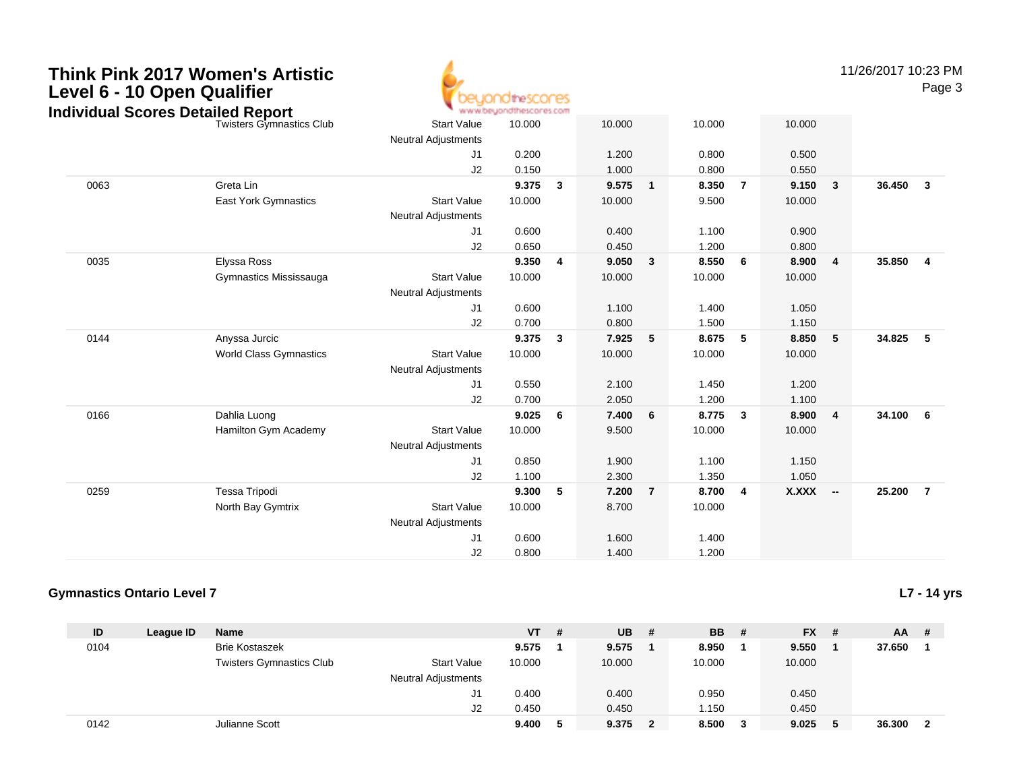

11/26/2017 10:23 PM

Page 3

|      | naividuai Scores Detailed Report |                            | <b>MARAY DRAMA INTERNATIONAL REPORTS</b> |   |        |              |        |                |          |                         |        |                |
|------|----------------------------------|----------------------------|------------------------------------------|---|--------|--------------|--------|----------------|----------|-------------------------|--------|----------------|
|      | <b>Twisters Gymnastics Club</b>  | <b>Start Value</b>         | 10.000                                   |   | 10.000 |              | 10.000 |                | 10.000   |                         |        |                |
|      |                                  | <b>Neutral Adjustments</b> |                                          |   |        |              |        |                |          |                         |        |                |
|      |                                  | J1                         | 0.200                                    |   | 1.200  |              | 0.800  |                | 0.500    |                         |        |                |
|      |                                  | J2                         | 0.150                                    |   | 1.000  |              | 0.800  |                | 0.550    |                         |        |                |
| 0063 | Greta Lin                        |                            | 9.375                                    | 3 | 9.575  | $\mathbf{1}$ | 8.350  | $\overline{7}$ | 9.150    | $\overline{\mathbf{3}}$ | 36.450 | $\mathbf{3}$   |
|      | East York Gymnastics             | <b>Start Value</b>         | 10.000                                   |   | 10.000 |              | 9.500  |                | 10.000   |                         |        |                |
|      |                                  | <b>Neutral Adjustments</b> |                                          |   |        |              |        |                |          |                         |        |                |
|      |                                  | J1                         | 0.600                                    |   | 0.400  |              | 1.100  |                | 0.900    |                         |        |                |
|      |                                  | J2                         | 0.650                                    |   | 0.450  |              | 1.200  |                | 0.800    |                         |        |                |
| 0035 | Elyssa Ross                      |                            | 9.350                                    | 4 | 9.050  | 3            | 8.550  | 6              | 8.900    | $\overline{4}$          | 35.850 | $\overline{4}$ |
|      | Gymnastics Mississauga           | <b>Start Value</b>         | 10.000                                   |   | 10.000 |              | 10.000 |                | 10.000   |                         |        |                |
|      |                                  | <b>Neutral Adjustments</b> |                                          |   |        |              |        |                |          |                         |        |                |
|      |                                  | J <sub>1</sub>             | 0.600                                    |   | 1.100  |              | 1.400  |                | 1.050    |                         |        |                |
|      |                                  | J2                         | 0.700                                    |   | 0.800  |              | 1.500  |                | 1.150    |                         |        |                |
| 0144 | Anyssa Jurcic                    |                            | 9.375                                    | 3 | 7.925  | 5            | 8.675  | 5              | 8.850    | $-5$                    | 34.825 | 5              |
|      | <b>World Class Gymnastics</b>    | <b>Start Value</b>         | 10.000                                   |   | 10.000 |              | 10.000 |                | 10.000   |                         |        |                |
|      |                                  | <b>Neutral Adjustments</b> |                                          |   |        |              |        |                |          |                         |        |                |
|      |                                  | J1                         | 0.550                                    |   | 2.100  |              | 1.450  |                | 1.200    |                         |        |                |
|      |                                  | J2                         | 0.700                                    |   | 2.050  |              | 1.200  |                | 1.100    |                         |        |                |
| 0166 | Dahlia Luong                     |                            | 9.025                                    | 6 | 7.400  | 6            | 8.775  | 3              | 8.900    | $\overline{\mathbf{4}}$ | 34.100 | 6              |
|      | Hamilton Gym Academy             | <b>Start Value</b>         | 10.000                                   |   | 9.500  |              | 10.000 |                | 10.000   |                         |        |                |
|      |                                  | <b>Neutral Adjustments</b> |                                          |   |        |              |        |                |          |                         |        |                |
|      |                                  | J1                         | 0.850                                    |   | 1.900  |              | 1.100  |                | 1.150    |                         |        |                |
|      |                                  | J2                         | 1.100                                    |   | 2.300  |              | 1.350  |                | 1.050    |                         |        |                |
| 0259 | Tessa Tripodi                    |                            | 9.300                                    | 5 | 7.200  | 7            | 8.700  | 4              | X.XXX -- |                         | 25.200 | $\overline{7}$ |
|      | North Bay Gymtrix                | <b>Start Value</b>         | 10.000                                   |   | 8.700  |              | 10.000 |                |          |                         |        |                |
|      |                                  | <b>Neutral Adjustments</b> |                                          |   |        |              |        |                |          |                         |        |                |
|      |                                  | J <sub>1</sub>             | 0.600                                    |   | 1.600  |              | 1.400  |                |          |                         |        |                |
|      |                                  | J2                         | 0.800                                    |   | 1.400  |              | 1.200  |                |          |                         |        |                |
|      |                                  |                            |                                          |   |        |              |        |                |          |                         |        |                |

### **Gymnastics Ontario Level 7**

**L7 - 14 yrs**

| ID   | League ID | <b>Name</b>                     |                            | <b>VT</b> | # | <b>UB</b> | # | <b>BB</b> | # | $FX$ # | $AA$ # |                         |
|------|-----------|---------------------------------|----------------------------|-----------|---|-----------|---|-----------|---|--------|--------|-------------------------|
| 0104 |           | <b>Brie Kostaszek</b>           |                            | 9.575     |   | 9.575     |   | 8.950     |   | 9.550  | 37.650 |                         |
|      |           | <b>Twisters Gymnastics Club</b> | <b>Start Value</b>         | 10.000    |   | 10.000    |   | 10.000    |   | 10.000 |        |                         |
|      |           |                                 | <b>Neutral Adjustments</b> |           |   |           |   |           |   |        |        |                         |
|      |           |                                 | J1                         | 0.400     |   | 0.400     |   | 0.950     |   | 0.450  |        |                         |
|      |           |                                 | J2                         | 0.450     |   | 0.450     |   | .150      |   | 0.450  |        |                         |
| 0142 |           | Julianne Scott                  |                            | 9.400     | 5 | 9.375     | 2 | 8.500     |   | 9.025  | 36.300 | $\overline{\mathbf{2}}$ |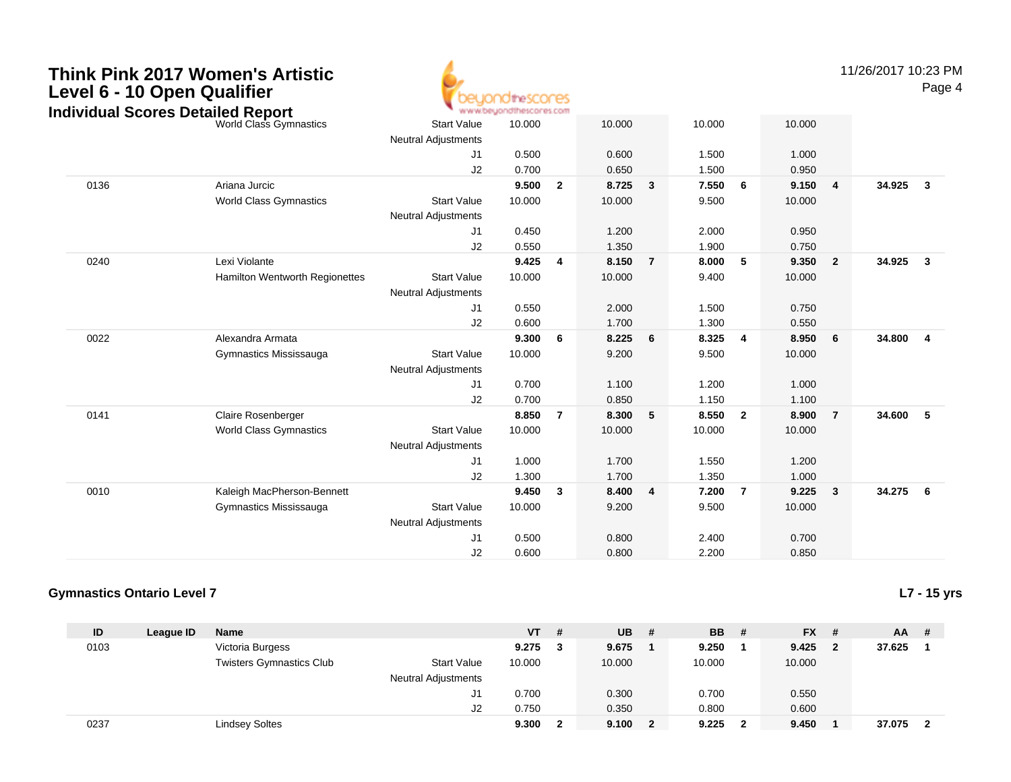

11/26/2017 10:23 PMPage 4

|      | dividual Scores Detailed Report |                            | " www.oeyonatuescores.com |                |        |                |        |                         |        |                         |          |                         |
|------|---------------------------------|----------------------------|---------------------------|----------------|--------|----------------|--------|-------------------------|--------|-------------------------|----------|-------------------------|
|      | <b>World Class Gymnastics</b>   | <b>Start Value</b>         | 10.000                    |                | 10.000 |                | 10.000 |                         | 10.000 |                         |          |                         |
|      |                                 | <b>Neutral Adjustments</b> |                           |                |        |                |        |                         |        |                         |          |                         |
|      |                                 | J1                         | 0.500                     |                | 0.600  |                | 1.500  |                         | 1.000  |                         |          |                         |
|      |                                 | J2                         | 0.700                     |                | 0.650  |                | 1.500  |                         | 0.950  |                         |          |                         |
| 0136 | Ariana Jurcic                   |                            | 9.500                     | $\overline{2}$ | 8.725  | 3              | 7.550  | 6                       | 9.150  | $\overline{\mathbf{4}}$ | 34.925   | $\overline{\mathbf{3}}$ |
|      | <b>World Class Gymnastics</b>   | <b>Start Value</b>         | 10.000                    |                | 10.000 |                | 9.500  |                         | 10.000 |                         |          |                         |
|      |                                 | <b>Neutral Adjustments</b> |                           |                |        |                |        |                         |        |                         |          |                         |
|      |                                 | J1                         | 0.450                     |                | 1.200  |                | 2.000  |                         | 0.950  |                         |          |                         |
|      |                                 | J2                         | 0.550                     |                | 1.350  |                | 1.900  |                         | 0.750  |                         |          |                         |
| 0240 | Lexi Violante                   |                            | 9.425                     | 4              | 8.150  | $\overline{7}$ | 8.000  | 5                       | 9.350  | $\overline{2}$          | 34.925   | $\overline{\mathbf{3}}$ |
|      | Hamilton Wentworth Regionettes  | <b>Start Value</b>         | 10.000                    |                | 10.000 |                | 9.400  |                         | 10.000 |                         |          |                         |
|      |                                 | <b>Neutral Adjustments</b> |                           |                |        |                |        |                         |        |                         |          |                         |
|      |                                 | J1                         | 0.550                     |                | 2.000  |                | 1.500  |                         | 0.750  |                         |          |                         |
|      |                                 | J2                         | 0.600                     |                | 1.700  |                | 1.300  |                         | 0.550  |                         |          |                         |
| 0022 | Alexandra Armata                |                            | 9.300                     | 6              | 8.225  | 6              | 8.325  | $\overline{\mathbf{4}}$ | 8.950  | 6                       | 34.800   | $\overline{4}$          |
|      | Gymnastics Mississauga          | <b>Start Value</b>         | 10.000                    |                | 9.200  |                | 9.500  |                         | 10.000 |                         |          |                         |
|      |                                 | <b>Neutral Adjustments</b> |                           |                |        |                |        |                         |        |                         |          |                         |
|      |                                 | J1                         | 0.700                     |                | 1.100  |                | 1.200  |                         | 1.000  |                         |          |                         |
|      |                                 | J2                         | 0.700                     |                | 0.850  |                | 1.150  |                         | 1.100  |                         |          |                         |
| 0141 | Claire Rosenberger              |                            | 8.850                     | $\overline{7}$ | 8.300  | 5              | 8.550  | $\overline{2}$          | 8.900  | $\overline{7}$          | 34.600   | $-5$                    |
|      | <b>World Class Gymnastics</b>   | <b>Start Value</b>         | 10.000                    |                | 10.000 |                | 10.000 |                         | 10.000 |                         |          |                         |
|      |                                 | <b>Neutral Adjustments</b> |                           |                |        |                |        |                         |        |                         |          |                         |
|      |                                 | J1                         | 1.000                     |                | 1.700  |                | 1.550  |                         | 1.200  |                         |          |                         |
|      |                                 | J2                         | 1.300                     |                | 1.700  |                | 1.350  |                         | 1.000  |                         |          |                         |
| 0010 | Kaleigh MacPherson-Bennett      |                            | 9.450                     | 3              | 8.400  | 4              | 7.200  | $\overline{7}$          | 9.225  | $\overline{\mathbf{3}}$ | 34.275 6 |                         |
|      | Gymnastics Mississauga          | <b>Start Value</b>         | 10.000                    |                | 9.200  |                | 9.500  |                         | 10.000 |                         |          |                         |
|      |                                 | <b>Neutral Adjustments</b> |                           |                |        |                |        |                         |        |                         |          |                         |
|      |                                 | J1                         | 0.500                     |                | 0.800  |                | 2.400  |                         | 0.700  |                         |          |                         |
|      |                                 | J2                         | 0.600                     |                | 0.800  |                | 2.200  |                         | 0.850  |                         |          |                         |
|      |                                 |                            |                           |                |        |                |        |                         |        |                         |          |                         |

### **Gymnastics Ontario Level 7**

**L7 - 15 yrs**

| ID   | League ID | <b>Name</b>                     |                            | <b>VT</b> | # | <b>UB</b> | # | <b>BB</b> | - #          | $FX$ # |                | $AA$ # |                         |
|------|-----------|---------------------------------|----------------------------|-----------|---|-----------|---|-----------|--------------|--------|----------------|--------|-------------------------|
| 0103 |           | Victoria Burgess                |                            | 9.275     | 3 | 9.675     |   | 9.250     |              | 9.425  | $\overline{2}$ | 37.625 |                         |
|      |           | <b>Twisters Gymnastics Club</b> | <b>Start Value</b>         | 10.000    |   | 10.000    |   | 10.000    |              | 10.000 |                |        |                         |
|      |           |                                 | <b>Neutral Adjustments</b> |           |   |           |   |           |              |        |                |        |                         |
|      |           |                                 | J1                         | 0.700     |   | 0.300     |   | 0.700     |              | 0.550  |                |        |                         |
|      |           |                                 | J2                         | 0.750     |   | 0.350     |   | 0.800     |              | 0.600  |                |        |                         |
| 0237 |           | <b>Lindsey Soltes</b>           |                            | 9.300     |   | 9.100     |   | 9.225     | $\mathbf{2}$ | 9.450  |                | 37.075 | $\overline{\mathbf{2}}$ |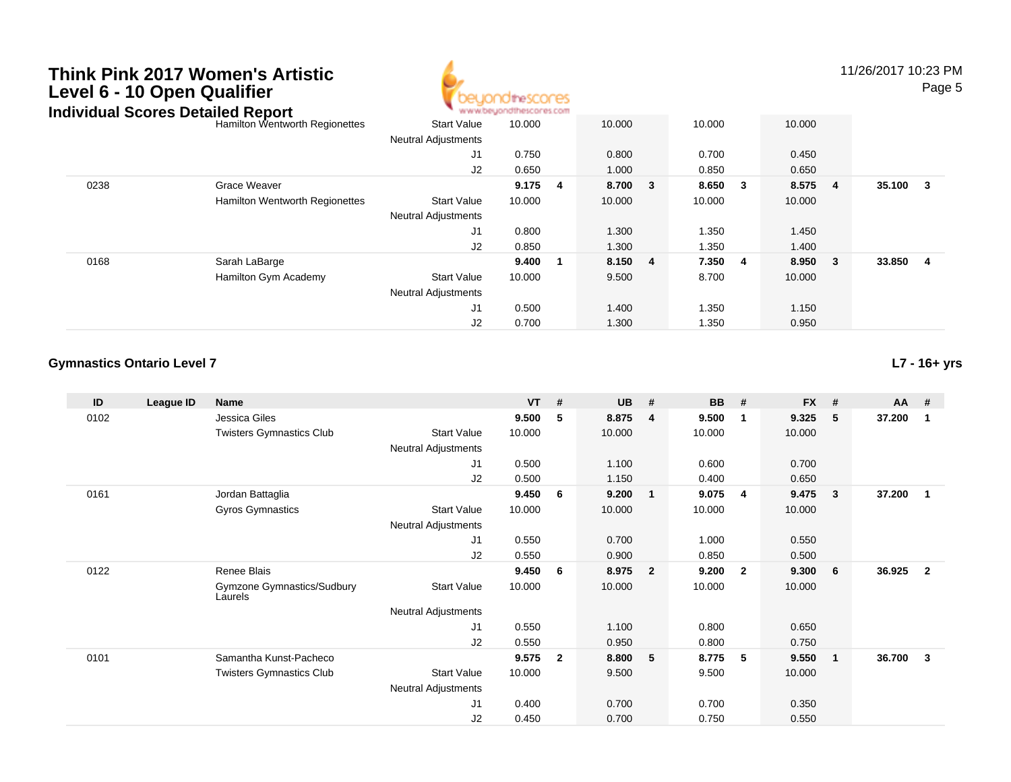

11/26/2017 10:23 PMPage 5

| igividual Scores Detalled Report |                                       |                            | AR AR AR PARAMENT AN IR MONTHAL ALS FOR LIL |   |         |         |         |                         |        |        |
|----------------------------------|---------------------------------------|----------------------------|---------------------------------------------|---|---------|---------|---------|-------------------------|--------|--------|
|                                  | Hamilton Wentworth Regionettes        | <b>Start Value</b>         | 10.000                                      |   | 10.000  | 10.000  | 10.000  |                         |        |        |
|                                  |                                       | <b>Neutral Adjustments</b> |                                             |   |         |         |         |                         |        |        |
|                                  |                                       | J1                         | 0.750                                       |   | 0.800   | 0.700   | 0.450   |                         |        |        |
|                                  |                                       | J2                         | 0.650                                       |   | 1.000   | 0.850   | 0.650   |                         |        |        |
| 0238                             | Grace Weaver                          |                            | 9.175                                       | 4 | 8.700 3 | 8.650 3 | 8.575 4 |                         | 35.100 | $_{3}$ |
|                                  | <b>Hamilton Wentworth Regionettes</b> | <b>Start Value</b>         | 10.000                                      |   | 10.000  | 10.000  | 10.000  |                         |        |        |
|                                  |                                       | <b>Neutral Adjustments</b> |                                             |   |         |         |         |                         |        |        |
|                                  |                                       | J1                         | 0.800                                       |   | 1.300   | 1.350   | 1.450   |                         |        |        |
|                                  |                                       | J <sub>2</sub>             | 0.850                                       |   | 1.300   | 1.350   | 1.400   |                         |        |        |
| 0168                             | Sarah LaBarge                         |                            | 9.400                                       | 1 | 8.150 4 | 7.350 4 | 8.950   | $\overline{\mathbf{3}}$ | 33.850 | - 4    |
|                                  | Hamilton Gym Academy                  | <b>Start Value</b>         | 10.000                                      |   | 9.500   | 8.700   | 10.000  |                         |        |        |
|                                  |                                       | <b>Neutral Adjustments</b> |                                             |   |         |         |         |                         |        |        |
|                                  |                                       | J1                         | 0.500                                       |   | 1.400   | 1.350   | 1.150   |                         |        |        |
|                                  |                                       | J2                         | 0.700                                       |   | 1.300   | 1.350   | 0.950   |                         |        |        |

### **Gymnastics Ontario Level 7**

**L7 - 16+ yrs**

| ID   | League ID | <b>Name</b>                           |                            | $VT$ # |                | <b>UB</b> | #                       | <b>BB</b> | #              | <b>FX</b> | # | $AA$ # |                |
|------|-----------|---------------------------------------|----------------------------|--------|----------------|-----------|-------------------------|-----------|----------------|-----------|---|--------|----------------|
| 0102 |           | Jessica Giles                         |                            | 9.500  | 5              | 8.875     | $\overline{4}$          | 9.500     | $\mathbf 1$    | 9.325     | 5 | 37.200 | -1             |
|      |           | <b>Twisters Gymnastics Club</b>       | <b>Start Value</b>         | 10.000 |                | 10.000    |                         | 10.000    |                | 10.000    |   |        |                |
|      |           |                                       | Neutral Adjustments        |        |                |           |                         |           |                |           |   |        |                |
|      |           |                                       | J1                         | 0.500  |                | 1.100     |                         | 0.600     |                | 0.700     |   |        |                |
|      |           |                                       | J2                         | 0.500  |                | 1.150     |                         | 0.400     |                | 0.650     |   |        |                |
| 0161 |           | Jordan Battaglia                      |                            | 9.450  | 6              | 9.200     | $\overline{1}$          | 9.075     | -4             | 9.475     | 3 | 37.200 | $\mathbf{1}$   |
|      |           | Gyros Gymnastics                      | <b>Start Value</b>         | 10.000 |                | 10.000    |                         | 10.000    |                | 10.000    |   |        |                |
|      |           |                                       | Neutral Adjustments        |        |                |           |                         |           |                |           |   |        |                |
|      |           |                                       | J1                         | 0.550  |                | 0.700     |                         | 1.000     |                | 0.550     |   |        |                |
|      |           |                                       | J2                         | 0.550  |                | 0.900     |                         | 0.850     |                | 0.500     |   |        |                |
| 0122 |           | Renee Blais                           |                            | 9.450  | 6              | 8.975     | $\overline{\mathbf{2}}$ | 9.200     | $\overline{2}$ | 9.300     | 6 | 36.925 | $\overline{2}$ |
|      |           | Gymzone Gymnastics/Sudbury<br>Laurels | <b>Start Value</b>         | 10.000 |                | 10.000    |                         | 10.000    |                | 10.000    |   |        |                |
|      |           |                                       | <b>Neutral Adjustments</b> |        |                |           |                         |           |                |           |   |        |                |
|      |           |                                       | J <sub>1</sub>             | 0.550  |                | 1.100     |                         | 0.800     |                | 0.650     |   |        |                |
|      |           |                                       | J2                         | 0.550  |                | 0.950     |                         | 0.800     |                | 0.750     |   |        |                |
| 0101 |           | Samantha Kunst-Pacheco                |                            | 9.575  | $\overline{2}$ | 8.800     | 5                       | 8.775     | 5              | 9.550     | 1 | 36.700 | 3              |
|      |           | <b>Twisters Gymnastics Club</b>       | <b>Start Value</b>         | 10.000 |                | 9.500     |                         | 9.500     |                | 10.000    |   |        |                |
|      |           |                                       | <b>Neutral Adjustments</b> |        |                |           |                         |           |                |           |   |        |                |
|      |           |                                       | J1                         | 0.400  |                | 0.700     |                         | 0.700     |                | 0.350     |   |        |                |
|      |           |                                       | J <sub>2</sub>             | 0.450  |                | 0.700     |                         | 0.750     |                | 0.550     |   |        |                |